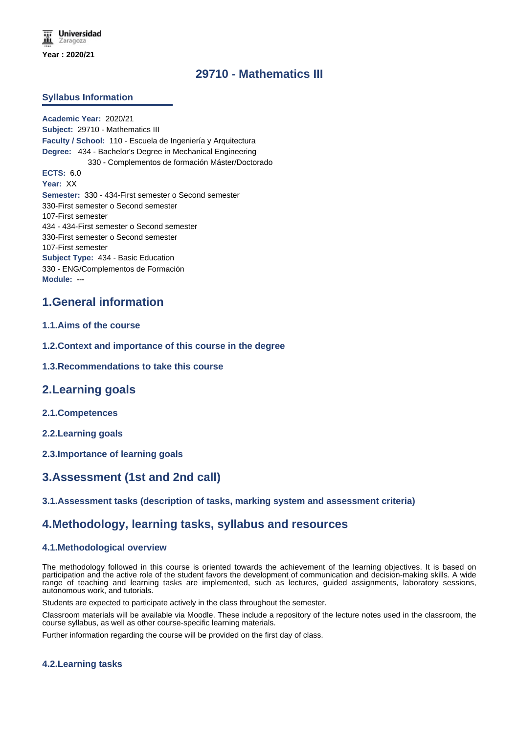# **29710 - Mathematics III**

### **Syllabus Information**

**Academic Year:** 2020/21 **Subject:** 29710 - Mathematics III **Faculty / School:** 110 - Escuela de Ingeniería y Arquitectura **Degree:** 434 - Bachelor's Degree in Mechanical Engineering 330 - Complementos de formación Máster/Doctorado **ECTS:** 6.0 **Year:** XX **Semester:** 330 - 434-First semester o Second semester 330-First semester o Second semester 107-First semester 434 - 434-First semester o Second semester 330-First semester o Second semester 107-First semester **Subject Type:** 434 - Basic Education 330 - ENG/Complementos de Formación **Module:** ---

# **1.General information**

- **1.1.Aims of the course**
- **1.2.Context and importance of this course in the degree**
- **1.3.Recommendations to take this course**

## **2.Learning goals**

- **2.1.Competences**
- **2.2.Learning goals**
- **2.3.Importance of learning goals**

# **3.Assessment (1st and 2nd call)**

**3.1.Assessment tasks (description of tasks, marking system and assessment criteria)**

## **4.Methodology, learning tasks, syllabus and resources**

#### **4.1.Methodological overview**

The methodology followed in this course is oriented towards the achievement of the learning objectives. It is based on participation and the active role of the student favors the development of communication and decision-making skills. A wide range of teaching and learning tasks are implemented, such as lectures, guided assignments, laboratory sessions, autonomous work, and tutorials.

Students are expected to participate actively in the class throughout the semester.

Classroom materials will be available via Moodle. These include a repository of the lecture notes used in the classroom, the course syllabus, as well as other course-specific learning materials.

Further information regarding the course will be provided on the first day of class.

#### **4.2.Learning tasks**